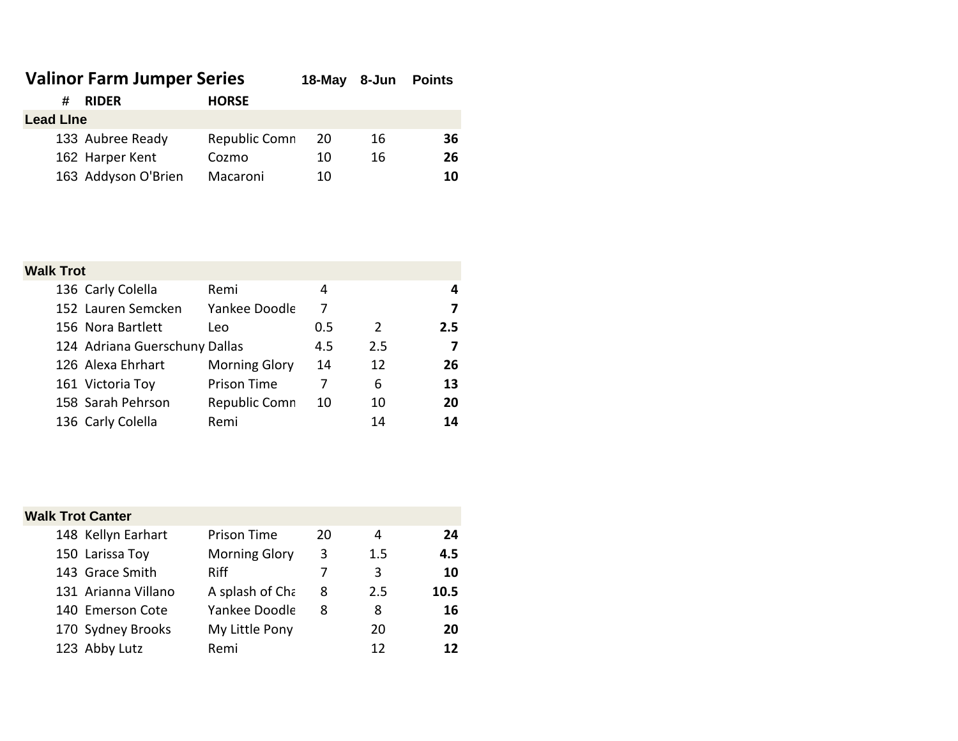| <b>Valinor Farm Jumper Series</b> |                     |               | $18$ -May | 8-Jun | <b>Points</b> |  |
|-----------------------------------|---------------------|---------------|-----------|-------|---------------|--|
| #                                 | <b>RIDER</b>        | <b>HORSE</b>  |           |       |               |  |
| <b>Lead Line</b>                  |                     |               |           |       |               |  |
|                                   | 133 Aubree Ready    | Republic Comn | 20        | 16    | 36            |  |
|                                   | 162 Harper Kent     | Cozmo         | 10        | 16    | 26            |  |
|                                   | 163 Addyson O'Brien | Macaroni      | 10        |       | 10            |  |

## **Walk Trot**

|  | 136 Carly Colella             | Remi                 | 4   |     | 4   |
|--|-------------------------------|----------------------|-----|-----|-----|
|  | 152 Lauren Semcken            | Yankee Doodle        | 7   |     | 7   |
|  | 156 Nora Bartlett             | Leo                  | 0.5 | 2   | 2.5 |
|  | 124 Adriana Guerschuny Dallas |                      | 4.5 | 2.5 | 7   |
|  | 126 Alexa Ehrhart             | <b>Morning Glory</b> | 14  | 12  | 26  |
|  | 161 Victoria Toy              | <b>Prison Time</b>   |     | 6   | 13  |
|  | 158 Sarah Pehrson             | Republic Comn        | 10  | 10  | 20  |
|  | 136 Carly Colella             | Remi                 |     | 14  | 14  |

| <b>Walk Trot Canter</b> |  |                      |    |         |      |  |
|-------------------------|--|----------------------|----|---------|------|--|
| 148 Kellyn Earhart      |  | <b>Prison Time</b>   | 20 | 4       | 24   |  |
| 150 Larissa Toy         |  | <b>Morning Glory</b> | 3  | $1.5\,$ | 4.5  |  |
| 143 Grace Smith         |  | <b>Riff</b>          |    | 3       | 10   |  |
| 131 Arianna Villano     |  | A splash of Cha      | 8  | 2.5     | 10.5 |  |
| 140 Emerson Cote        |  | Yankee Doodle        | 8  | 8       | 16   |  |
| 170 Sydney Brooks       |  | My Little Pony       |    | 20      | 20   |  |
| 123 Abby Lutz           |  | Remi                 |    | 12      | 12   |  |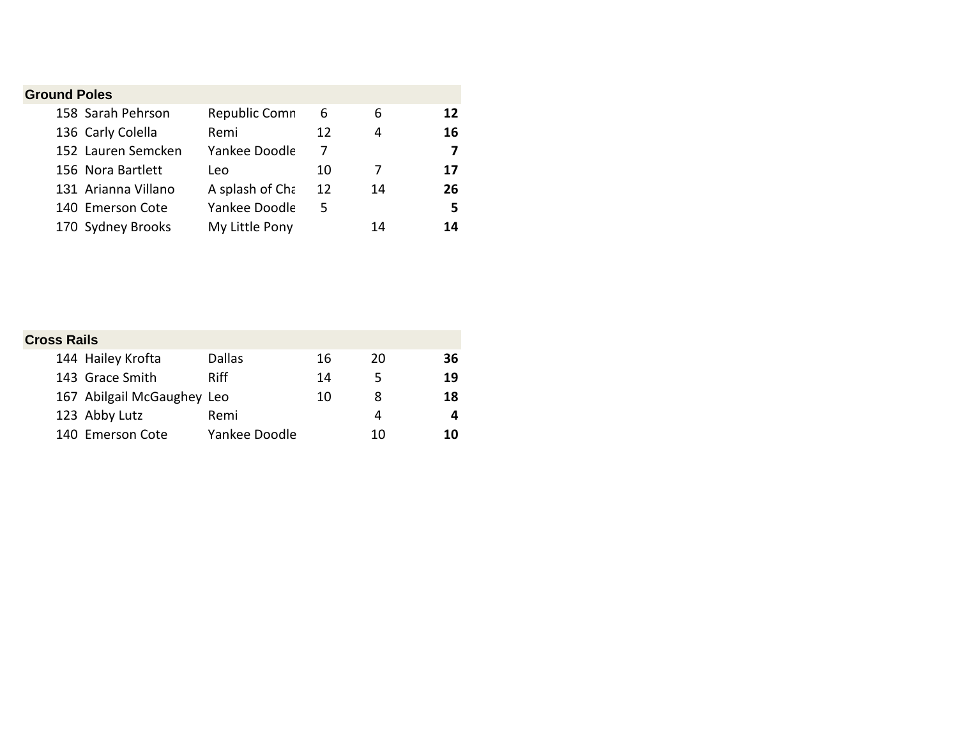| <b>Ground Poles</b> |                     |                 |    |    |    |
|---------------------|---------------------|-----------------|----|----|----|
|                     | 158 Sarah Pehrson   | Republic Comn   | 6  | 6  | 12 |
|                     | 136 Carly Colella   | Remi            | 12 | 4  | 16 |
|                     | 152 Lauren Semcken  | Yankee Doodle   | 7  |    | 7  |
|                     | 156 Nora Bartlett   | Leo             | 10 |    | 17 |
|                     | 131 Arianna Villano | A splash of Cha | 12 | 14 | 26 |
|                     | 140 Emerson Cote    | Yankee Doodle   | 5  |    | 5  |
|                     | 170 Sydney Brooks   | My Little Pony  |    | 14 | 14 |

| <b>Cross Rails</b>         |               |    |    |    |
|----------------------------|---------------|----|----|----|
| 144 Hailey Krofta          | <b>Dallas</b> | 16 | 20 | 36 |
| 143 Grace Smith            | <b>Riff</b>   | 14 | 5  | 19 |
| 167 Abilgail McGaughey Leo |               | 10 | 8  | 18 |
| 123 Abby Lutz              | Remi          |    | 4  |    |
| 140 Emerson Cote           | Yankee Doodle |    | 10 | 10 |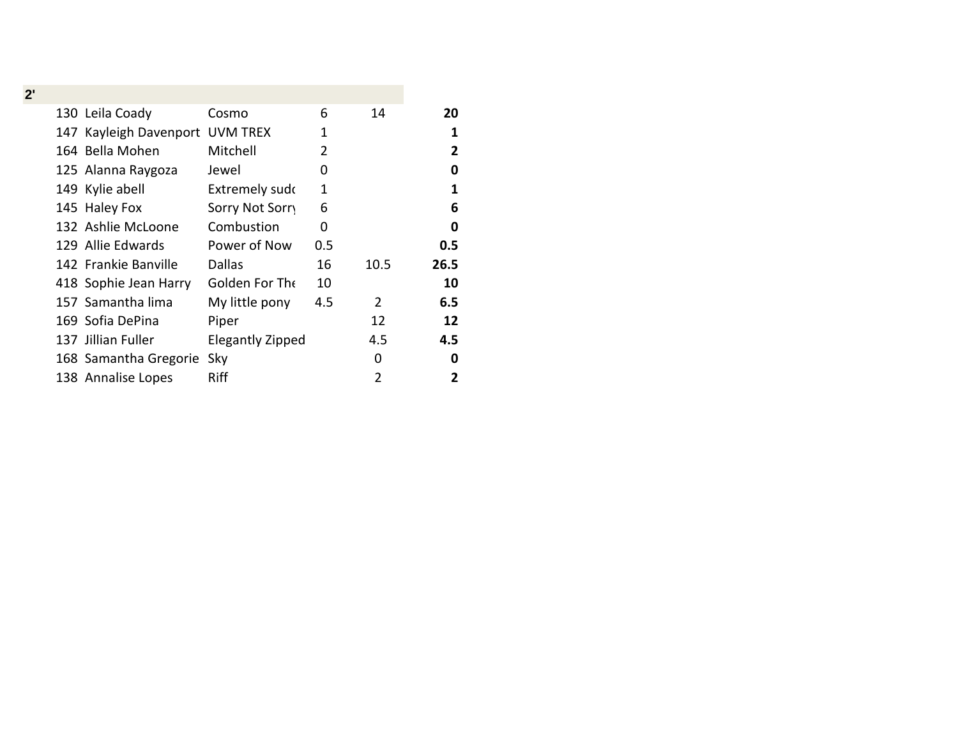|  | Cosmo                                                                                                                                                                                                                                                                                                                            | 6   | 14             | 20   |
|--|----------------------------------------------------------------------------------------------------------------------------------------------------------------------------------------------------------------------------------------------------------------------------------------------------------------------------------|-----|----------------|------|
|  | <b>UVM TREX</b>                                                                                                                                                                                                                                                                                                                  | 1   |                | 1    |
|  | Mitchell                                                                                                                                                                                                                                                                                                                         | 2   |                | 2    |
|  | Jewel                                                                                                                                                                                                                                                                                                                            | 0   |                | 0    |
|  | Extremely sudo                                                                                                                                                                                                                                                                                                                   | 1   |                | 1    |
|  | Sorry Not Sorry                                                                                                                                                                                                                                                                                                                  | 6   |                | 6    |
|  | Combustion                                                                                                                                                                                                                                                                                                                       | 0   |                | 0    |
|  | Power of Now                                                                                                                                                                                                                                                                                                                     | 0.5 |                | 0.5  |
|  | <b>Dallas</b>                                                                                                                                                                                                                                                                                                                    | 16  | 10.5           | 26.5 |
|  | Golden For The                                                                                                                                                                                                                                                                                                                   | 10  |                | 10   |
|  | My little pony                                                                                                                                                                                                                                                                                                                   | 4.5 | $\overline{2}$ | 6.5  |
|  | Piper                                                                                                                                                                                                                                                                                                                            |     | 12             | 12   |
|  | <b>Elegantly Zipped</b>                                                                                                                                                                                                                                                                                                          |     | 4.5            | 4.5  |
|  | Sky                                                                                                                                                                                                                                                                                                                              |     | 0              | 0    |
|  | Riff                                                                                                                                                                                                                                                                                                                             |     | 2              | 2    |
|  | 130 Leila Coady<br>147 Kayleigh Davenport<br>164 Bella Mohen<br>125 Alanna Raygoza<br>149 Kylie abell<br>145 Haley Fox<br>132 Ashlie McLoone<br>129 Allie Edwards<br>142 Frankie Banville<br>418 Sophie Jean Harry<br>157 Samantha lima<br>169 Sofia DePina<br>137 Jillian Fuller<br>168 Samantha Gregorie<br>138 Annalise Lopes |     |                |      |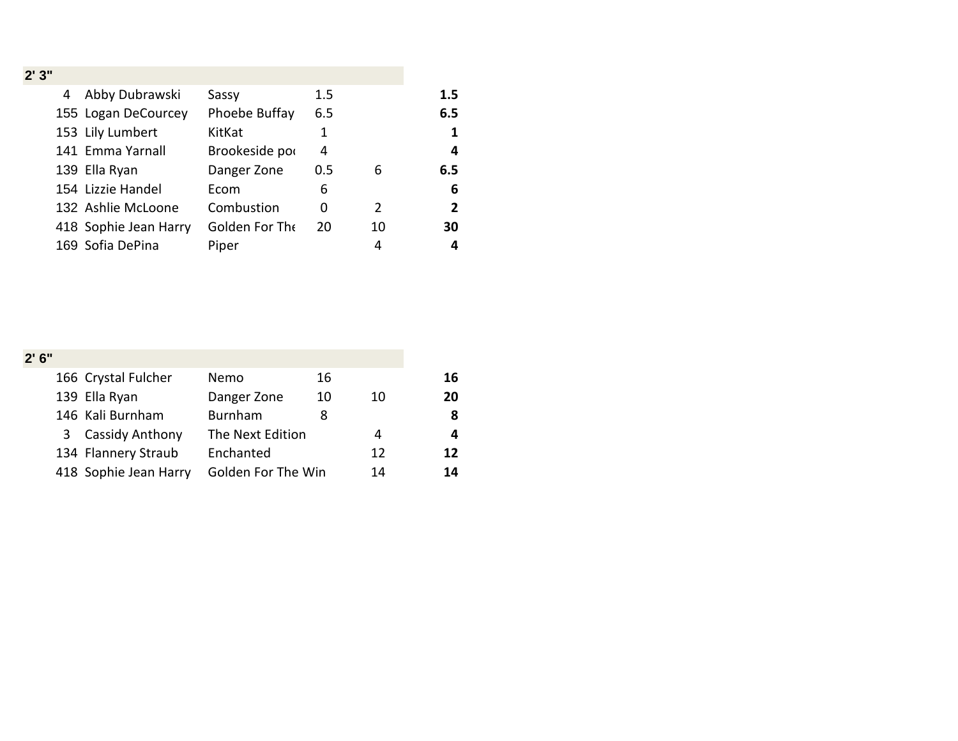| 2'3'' |                       |                |     |    |                |
|-------|-----------------------|----------------|-----|----|----------------|
| 4     | Abby Dubrawski        | Sassy          | 1.5 |    | 1.5            |
|       | 155 Logan DeCourcey   | Phoebe Buffay  | 6.5 |    | 6.5            |
|       | 153 Lily Lumbert      | KitKat         | 1   |    | $\mathbf{1}$   |
|       | 141 Emma Yarnall      | Brookeside por | 4   |    | 4              |
|       | 139 Ella Ryan         | Danger Zone    | 0.5 | 6  | 6.5            |
|       | 154 Lizzie Handel     | Ecom           | 6   |    | 6              |
|       | 132 Ashlie McLoone    | Combustion     | 0   | 2  | $\overline{2}$ |
|       | 418 Sophie Jean Harry | Golden For The | 20  | 10 | 30             |
|       | 169 Sofia DePina      | Piper          |     | 4  | 4              |

| 2'6'' |                        |                    |    |    |    |
|-------|------------------------|--------------------|----|----|----|
|       | 166 Crystal Fulcher    | Nemo               | 16 |    | 16 |
|       | 139 Ella Ryan          | Danger Zone        | 10 | 10 | 20 |
|       | 146 Kali Burnham       | <b>Burnham</b>     |    |    | 8  |
| 3     | <b>Cassidy Anthony</b> | The Next Edition   |    | 4  | 4  |
|       | 134 Flannery Straub    | Enchanted          |    | 12 | 12 |
|       | 418 Sophie Jean Harry  | Golden For The Win |    | 14 | 14 |